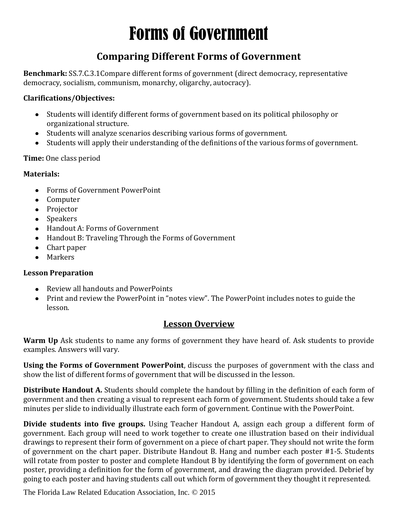# Forms of Government

### **Comparing Different Forms of Government**

**Benchmark:** SS.7.C.3.1Compare different forms of government (direct democracy, representative democracy, socialism, communism, monarchy, oligarchy, autocracy).

#### **Clarifications/Objectives:**

- Students will identify different forms of government based on its political philosophy or organizational structure.
- Students will analyze scenarios describing various forms of government.
- Students will apply their understanding of the definitions of the various forms of government.

#### **Time:** One class period

#### **Materials:**

- Forms of Government PowerPoint
- Computer
- Projector
- Speakers
- Handout A: Forms of Government
- Handout B: Traveling Through the Forms of Government
- Chart paper
- Markers

#### **Lesson Preparation**

- Review all handouts and PowerPoints
- Print and review the PowerPoint in "notes view". The PowerPoint includes notes to guide the lesson.

#### **Lesson Overview**

**Warm Up** Ask students to name any forms of government they have heard of. Ask students to provide examples. Answers will vary.

**Using the Forms of Government PowerPoint**, discuss the purposes of government with the class and show the list of different forms of government that will be discussed in the lesson.

**Distribute Handout A.** Students should complete the handout by filling in the definition of each form of government and then creating a visual to represent each form of government. Students should take a few minutes per slide to individually illustrate each form of government. Continue with the PowerPoint.

**Divide students into five groups.** Using Teacher Handout A, assign each group a different form of government. Each group will need to work together to create one illustration based on their individual drawings to represent their form of government on a piece of chart paper. They should not write the form of government on the chart paper. Distribute Handout B. Hang and number each poster #1-5. Students will rotate from poster to poster and complete Handout B by identifying the form of government on each poster, providing a definition for the form of government, and drawing the diagram provided. Debrief by going to each poster and having students call out which form of government they thought it represented.

The Florida Law Related Education Association, Inc. © 2015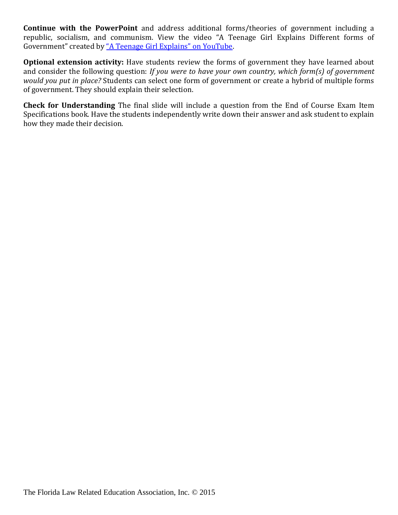**Continue with the PowerPoint** and address additional forms/theories of government including a republic, socialism, and communism. View the video "A Teenage Girl Explains Different forms of Government" created by ["A Teenage Girl Explains" on YouTube](https://www.youtube.com/watch?v=WEEuwmMIPas).

**Optional extension activity:** Have students review the forms of government they have learned about and consider the following question: *If you were to have your own country, which form(s) of government would you put in place?* Students can select one form of government or create a hybrid of multiple forms of government. They should explain their selection.

**Check for Understanding** The final slide will include a question from the End of Course Exam Item Specifications book. Have the students independently write down their answer and ask student to explain how they made their decision.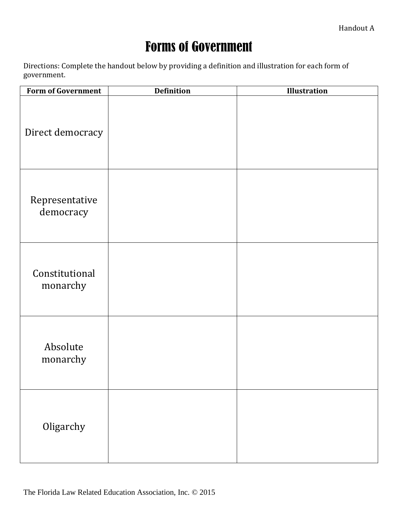## Forms of Government

Directions: Complete the handout below by providing a definition and illustration for each form of government.

| <b>Form of Government</b>   | <b>Definition</b> | Illustration |
|-----------------------------|-------------------|--------------|
| Direct democracy            |                   |              |
| Representative<br>democracy |                   |              |
| Constitutional<br>monarchy  |                   |              |
| Absolute<br>monarchy        |                   |              |
| Oligarchy                   |                   |              |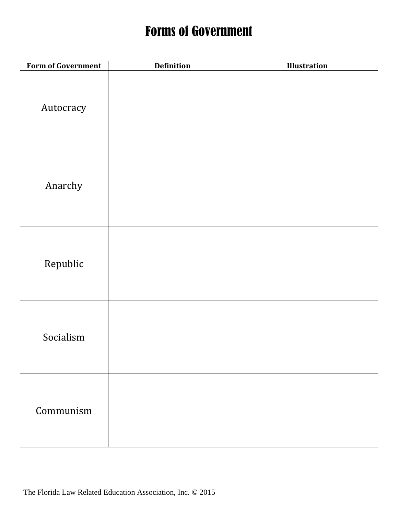### Forms of Government

| <b>Form of Government</b> | <b>Definition</b> | <b>Illustration</b> |
|---------------------------|-------------------|---------------------|
| Autocracy                 |                   |                     |
| Anarchy                   |                   |                     |
| Republic                  |                   |                     |
| Socialism                 |                   |                     |
| Communism                 |                   |                     |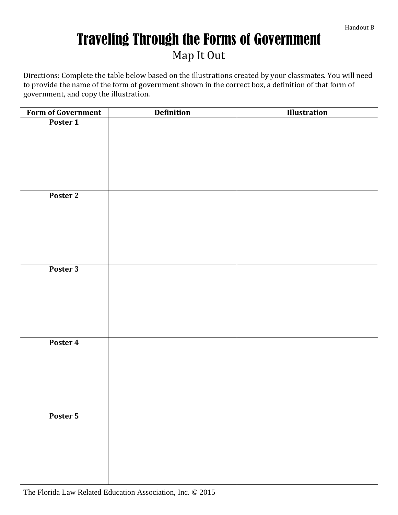## Traveling Through the Forms of Government Map It Out

Directions: Complete the table below based on the illustrations created by your classmates. You will need to provide the name of the form of government shown in the correct box, a definition of that form of government, and copy the illustration.

| Form of Government | <b>Definition</b> | <b>Illustration</b> |
|--------------------|-------------------|---------------------|
| Poster 1           |                   |                     |
|                    |                   |                     |
|                    |                   |                     |
|                    |                   |                     |
|                    |                   |                     |
|                    |                   |                     |
|                    |                   |                     |
| Poster 2           |                   |                     |
|                    |                   |                     |
|                    |                   |                     |
|                    |                   |                     |
|                    |                   |                     |
|                    |                   |                     |
|                    |                   |                     |
|                    |                   |                     |
| Poster 3           |                   |                     |
|                    |                   |                     |
|                    |                   |                     |
|                    |                   |                     |
|                    |                   |                     |
|                    |                   |                     |
|                    |                   |                     |
| Poster 4           |                   |                     |
|                    |                   |                     |
|                    |                   |                     |
|                    |                   |                     |
|                    |                   |                     |
|                    |                   |                     |
|                    |                   |                     |
| Poster 5           |                   |                     |
|                    |                   |                     |
|                    |                   |                     |
|                    |                   |                     |
|                    |                   |                     |
|                    |                   |                     |
|                    |                   |                     |
|                    |                   |                     |